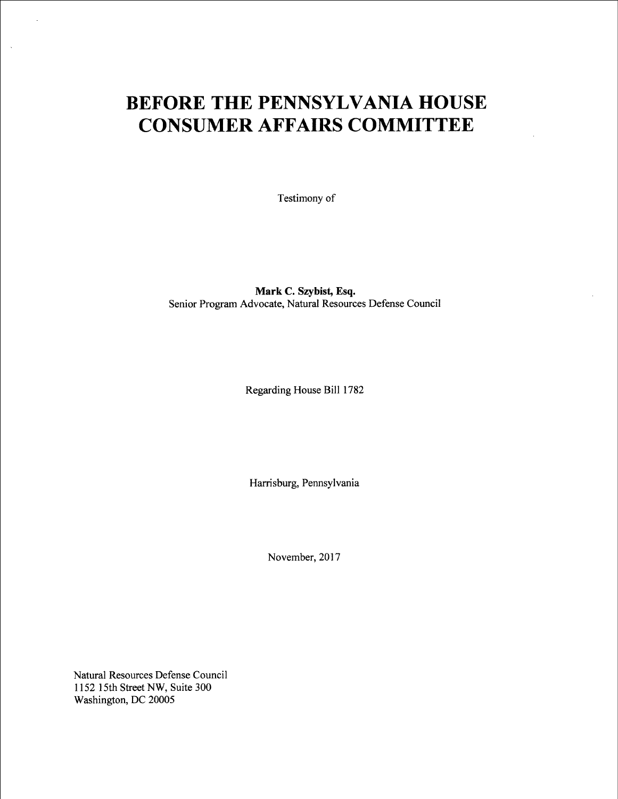## BEFORE THE PENNSYLVANIA HOUSE CONSUMER AFFAIRS COMMITTEE

Testimony of

Mark C. Szybist, Esq. Senior Program Advocate, Natural Resources Defense Council

Regarding House Bill 1782

Harrisburg, Pennsylvania

November, 2017

Natural Resources Defense Council 1 152 ] 5th Street NW, Suite 300 Washington, DC 20005

 $\mathcal{L}$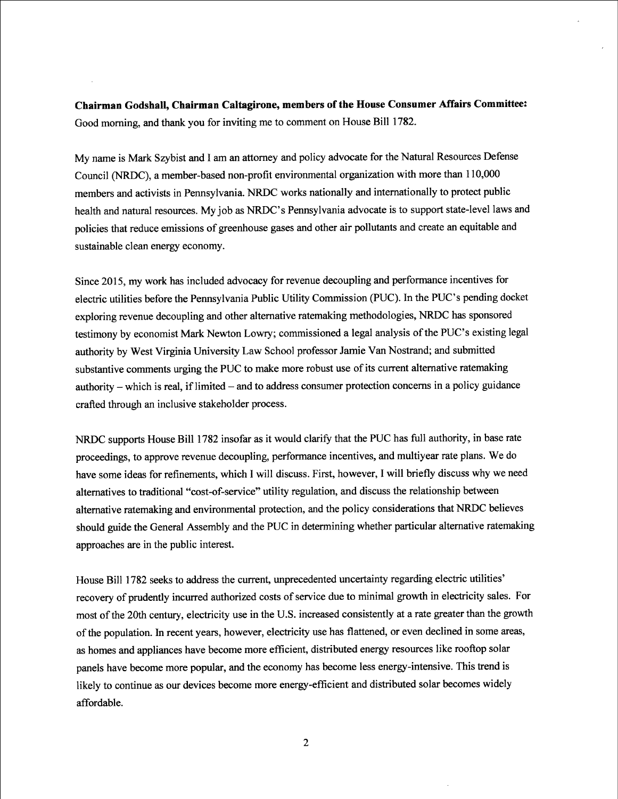Chairman Godshall, Chairman Caltagirone, members of the House Consumer Affairs Committee: Good morning, and thank you for inviting me to comment on House Bill 1782.

My name is Mark Szybist and I am an attorney and policy advocate for the Natural Resources Defense Council (NRDC), a member-based non-profit environmental organization with more than 110,000 members and activists in Pennsylvania. NRDC works nationally and intemationally to protect public health and natural resources. My job as NRDC's Pennsylvania advocate is to support state-level laws and policies that reduce emissions of greenhouse gases and other air pollutants and create an equitable and sustainable clean energy economy.

Since 2015, my work has included advocacy for revenue decoupling and performance incentives for electric utilities before the Pennsylvania Public Utility Commission (PUC). In the PUC's pending docket exploring revenue decoupling and other altemative ratemaking methodologies, NRDC has sponsored testimony by economist Mark Newton Lowry; commissioned a legal analysis of the PUC's existing legal authority by West Virginia University Law Schoo] professor Jamie Van Nostrand; and submitted substantive comments urging the PUC to make more robust use of its current altemative ratemaking authority -- which is real, if limited -- and to address consumer protection concerns in a policy guidance crafted through an inclusive stakeholder process.

NRDC supports House Bill 1782 insofar as it would clarify that the PUC has full authority, in base rate proceedings, to approve revenue decoupling, performance incentives, and multiyear rate plans. We do have some ideas for refinements, which I will discuss. First, however, I will briefly discuss why we need alternatives to traditional "cost-of-service" utility regulation, and discuss the relationship between alternative ratemaking and environmental protection, and the policy considerations that NRDC believes should guide the General Assembly and the PUC in determining whether particular altemative ratemaking approaches are in the public interest.

House Bill 1782 seeks to address the current, unprecedented uncertainty regarding electric utilities' recovery of prudently incurred authorized costs of service due to minimal growth in electricity sales. For most of the 20th century, electricity use in the U.S. increased consistently at a rate greater than the growth of the population. In recent years, however, electricity use has flattened, or even declined in some areas, as homes and appliances have become more efficient, distributed energy resources like rooftop solar panels have become more popular, and the economy has become less energy-intensive. This trend is likely to continue as our devices become more energy-efficient and distributed solar becomes widely affordable.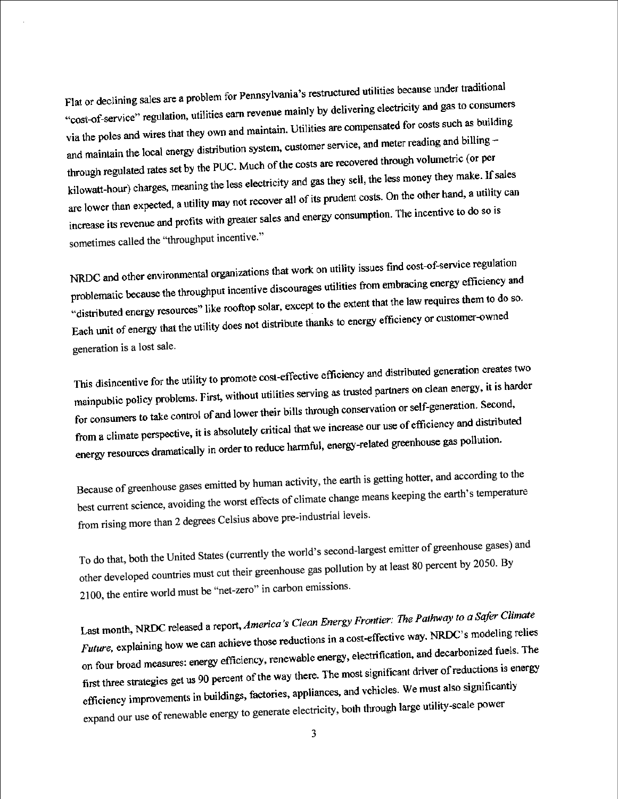Flat or declining sales are a problem for Pennsylvania's restructured utilities because under traditional<br>interface delivating electricity and gas to consume Flat or declining sales are a problem for remissivant broad array. "cost-of-service" regulation, utilities early revenue manny by all the contracted for costs such as building<br>via the poles and wires that they own and maintain. Utilities are compensated for costs such as building via the poles and wires that they own and maintain. Someoner service, and meter reading and billing –<br>and maintain the local energy distribution system, customer service, and meter reading and billing and maintain the local energy distribution system, calculated through volumetric (or per<br>through regulated rates set by the PUC. Much of the costs are recovered through volumetric (or per through regulated rates set by the POC. Much of the costs and they sell, the less money they make. If sales<br>kilowatt-hour) charges, meaning the less electricity and gas they sell, the less money they make. If sales kilowatt-hour) charges, meaning the less electricity and  $\frac{1}{2}$  and  $\frac{1}{2}$  and  $\frac{1}{2}$  are lower than expected, a utility may not recover all of its prudent costs. On the other hand, a utility can are lower than expected, a utility may not recover an example.<br>increase its revenue and profits with greater sales and energy consumption. The incentive to do so is sometimes called the "throughput incentive."

NRDC and other environmental organizations that work on utility issues find cost-of-service regulation<br>is a constitution from embracing energy efficiency and NRDC and other environmental organizations that were considered. problematic because the throughput incentive discourages and the extent that the law requires them to do so.<br>"distributed energy resources" like rooftop solar, except to the extent that the law requires them to do so. "distributed energy resources" like root by solar, except to the term generation is a lost sale.

This disincentive for the utility to promote cost-effective efficiency and distributed generation creates two<br>this as fruited partners on clean energy, it is harder This disincentive for the utility to promote cost-criterial extension,<br>mainpublic policy problems. First, without utilities serving as trusted partners on clean energy, it is harder<br>the concentration or self-generation. Se mainpublic policy problems. First, while definition of the problems of the consumers to take control of and lower their bills through conservation or self-generation. Second, for consumers to take control of and lower then only allowed the mergers our use of efficiency and distributed<br>from a climate perspective, it is absolutely critical that we increase our use of efficiency and distributed from a climate perspective, it is absolutely entical that the contract of the energy resources dramatically in order to reduce harmful, energy-related greenhouse gas pollution.

Because of greenhouse gases emitted by human activity, the earth is getting hotter, and according to the best current science, avoiding the worst effects of climate change means keeping the earth's temperature  $C<sub>e</sub>$ lsius above pre-industrial levels from rising more than 2 degrees Celsius a

To do that, both the United States(currently the world's second-largest emitter of greenhouse gases) and other developed countries must cut their greenhouse gas pollution by at least 80 percent by 2050. By 21 00, the entire world must be "net-zero" in carbon emissions.

Last month, NRDC released a report, *America's Clean Energy Frontier: The Pathway to a Safer Climate* Last month, NRDC released a report, *America's* Creations in a cost-effective way. NRDC's modeling relies<br>Future, explaining how we can achieve those reductions in a cost-effective way. NRDC's modeling relies. Future, explaining how we can achieve mose reductions in a second section.<br>on four broad measures: energy efficiency, renewable energy, electrification, and decarbonized fuels. The on four broad measures: energy efficiency, renewable strengy, first three strategies get us 90 percent of the way there. The move of the must also significantly<br>efficiency improvements in buildings, factories, appliances, and vehicles. We must also significantly<br>the hard through larg expand our use of renewable energy to generate electricity, both through large utility-scale power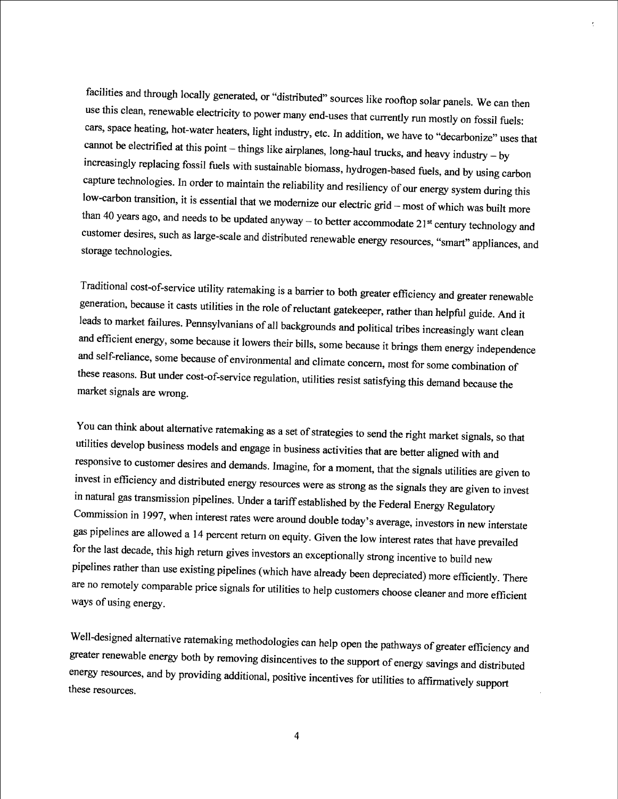facilities and through locally generated, or "distributed" sources like rooftop solar panels. We can then use this clean, renewable electricity to power many end-uses that currently run mostly on fossil fuels: cars, space heating, hot-water heaters, light industry, etc. In addition, we have to "decarbonize" uses that cannot be electrified at this point -- things like airplanes, long-haul trucks, and heavy industry  $-$  by increasingly replacing fossil fuels with sustainable biomass, hydrogen-based fuels, and by using carbon capture technologies. In order to maintain the reliability and resiliency of our energy system during this low-carbon transition, it is essential that we modernize our electric grid -- most of which was built more than 40 years ago, and needs to be updated anyway -- to better accommodate  $21^{st}$  century technology and customer desires, such as large-scale and distributed renewable energy resources, "smart" appliances, and storage technologies.

Traditional cost-of-service utility ratemaking is a barrier to both greater efficiency and greater renewable generation, because it casts utilities in the role of reluctant gatekeeper, rather than helpful guide. And it leads to market failures. Pennsylvanians of all backgrounds and political tribes increasingly want clean and efficient energy, some because it lowers their bills, some because it brings them energy independence and self-reliance, some because of environmental and climate concem, most for some combination of these reasons. But under cost-of-service regulation, utilities resist satisfying this demand because the market signals are wrong.

You can think about alternative ratemaking as a set of strategies to send the right market signals, so that utilities develop business models and engage in business activities that are better aligned with and responsive to customer desires and demands. Imagine, for a moment, that the signals utilities are given to invest in efficiency and distributed energy resources were as strong as the signals they are given to invest in natural gas transmission pipelines. Under a tariff established by the Federal Energy Regulatory Commission in 1997, when interest rates were around double today's average, investors in new interstate gas pipelines are allowed a 14 percent return on equity. Given the low interest rates that have prevailed for the last decade, this high retum gives investors an exceptionally strong incentive to build new pipelines rather than use existing pipelines (which have already been depreciated) more efficiently. There are no remotely comparable price signals for utilities to help customers choose cleaner and more efficient ways of using energy.

Well-designed alternative ratemaking methodologies can help open the pathways of greater efficiency and greater renewable energy both by removing disincentives to the support of energy savings and distributed energy resources, and by providing additional, positive incentives for utilities to affirmatively support these resources.

4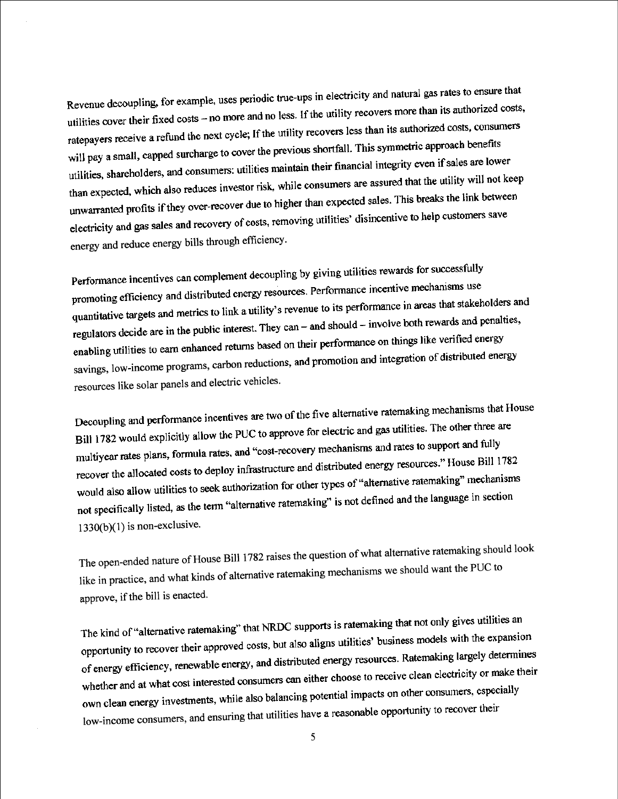Revenue decoupling, for example, uses periodic true-ups in electricity and natural gas rates to ensure that<br>it is authorized costs. Revenue decoupling, for example, uses performed that the utility recovers more than its authorized costs,<br>utilities cover their fixed costs – no more and no less. If the utility recovers more than its authorized costs, con rate payers receive a refund the next cycle; If the utility recovers less than its authorized costs, consumers<br>rate payers receive a refund the next cycle; If the utility recovers less than its authorized costs, consumers ratepayers receive a retund the next cycle, if the different contribution is symmetric approach benefits<br>will pay a small, capped surcharge to cover the previous shortfall. This symmetric approach benefits will pay a small, capped surcharge to cover the previous and their financial integrity even if sales are lower<br>utilities, shareholders, and consumers: utilities maintain their financial integrity even if sales are lower the than expected, which also reduces investor risk, while consumers are assured that the utility will not keep<br>than expected, which also reduces investor risk, while consumers are assured that the utility will not keep than expected, which also requess investor risk, while concerned<br>unwarranted profits if they over-recover due to higher than expected sales. This breaks the link between<br>the customers save electricity and gas sales and recovery of costs, removing utilities' disincentive to help customers save energy and reduce energy bills through efficiency.

Performance incentives can complement decoupling by giving utilities rewards for successfully performance incentives can complement that year's the contributed energy resources. Performance incentive mechanisms use quantitative targets and metrics to link a utility's revenue to its performance in areas that stakeholders and quantitative targets and metrics to this a dimensional space-of-<br>regulators decide are in the public interest. They can – and should – involve both rewards and penalties,<br> $\frac{1}{2}$  and  $\frac{1}{2}$  are can expect the verifie savings, low-income programs, carbon reductions, resources like solar panels and electric vehicles.

Decoupling and performance incentives are two of the five alternative ratemaking mechanisms that House Decoupling and performance incentives are two or the state. Bill 1782 would explicitly allow the FOC to approve the contractions and rates to support and fully<br>multiyear rates plans, formula rates, and "cost-recovery mechanisms and rates to support and fully multiyear rates plans, formula rates, and cost-tectors, means recover the allocated costs to deploy inhastitude the cost.<br>would also allow utilities to seek authorization for other types of "alternative ratemaking" mechanisms<br>is not defined and the language in section would also allow utilities to seek allow izqued for the state of the state of the language in section<br>not specifically listed, as the term "alternative ratemaking" is not defined and the language in section 1330(b)(1) is non-exclusive.

The open-ended nature of House Bill 1782 raises the question of what alternative ratemaking should look like in practice, and what kinds of altemative ratemaking mechanisms we should want the PUC to approve, if the bill is enacted.

The kind of "alternative ratemaking" that NRDC supports is ratemaking that not only gives utilities an The kind of "alternative ratemaking" that NKDC supposes the company business models with the expansion<br>opportunity to recover their approved costs, but also aligns utilities' business models with the expansion opportunity to recover their approved costs, our also allows and the contract. Ratemaking largely determines<br>of energy efficiency, renewable energy, and distributed energy resources. Ratemaking largely determines of energy efficiency, renewable energy, and distributed energy. whether and at what cost interested consumers can start interesting potential impacts on other consumers, especially<br>own clean energy investments, while also balancing potential impacts on other consumers, especially low-income consumers, and ensuring that utilities have a reasonable opportunity to recover their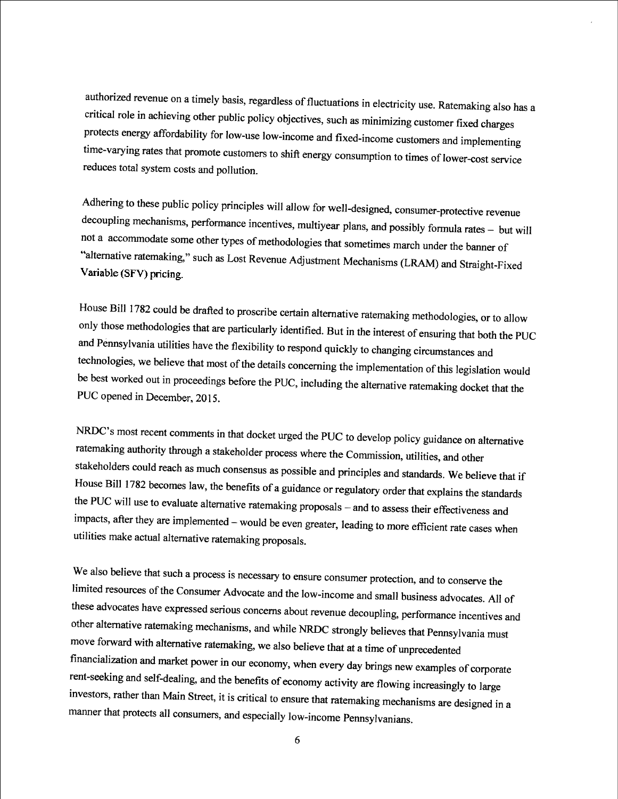authorized revenue on a timely basis, regardless of fluctuations in electricity use. Ratemaking also has a critical role in achieving other public policy objectives, such as minimizing customer fixed charges protects energy affordability for low-use low-income and fixed-income customers and implementing time-varying rates that promote customers to shift energy consumption to times of lower-cost service reduces total system costs and pollution.

Adhering to these public policy principles will allow for well-designed, consumer-protective revenue decoupling mechanisms, performance incentives, multiyear plans, and possibly formula rates -- but will not a accommodate some other types of methodologies that sometimes march under the banner of "alternative ratemaking," such as Lost Revenue Adjustment Mechanisms (LRAM) and Straight-Fixed<br>Variable (SFV) pricing.

House Bill 1782 could be drafted to proscribe certain alternative ratemaking methodologies, or to allow only those methodologies that are particularly identified. But in the interest of ensuring that both the PUC and Pennsylvania utilities have the flexibility to respond quickly to changing circumstances and technologies, we believe that most of the details conceming the implementation of this legislation would be best worked out in proceedings before the PUC, including the alternative ratemaking docket that the PUC opened in December. 2015.

NRDC's most recent comments in that docket urged the PUC to develop policy guidance on altemative ratemaking authority through a stakeholder process where the Commission, utilities, and other stakeholders could reach as much consensus as possible and principles and standards. We believe that if House Bill 1782 becomes law, the benefits of a guidance or regulatory order that explains the standards the PUC will use to evaluate alternative ratemaking proposals – and to assess their effectiveness and impacts, after they are implemented -- would be even greater, leading to more efficient rate cases when utilities make actual altemative ratemaking proposals.

We also believe that such a process is necessary to ensure consumer protection, and to conserve the limited resources of the Consumer Advocate and the low-income and small business advocates. All of these advocates have expressed serious concerns about revenue decoupling, performance incentives and other alternative ratemaking mechanisms, and while NRDC strongly believes that Pennsylvania must move forward with alternative ratemaking, we also believe that at a time of unprecedented financialization and market power in our economy, when every day brings new examples of corporate rent-seeking and self-dealing, and the benefits of economy activity are flowing increasingly to large investors, rather than Main Street, it is critical to ensure that ratemaking mechanisms are designed in a manner that protects all consumers, and especially low-income Pennsylvanians.

6